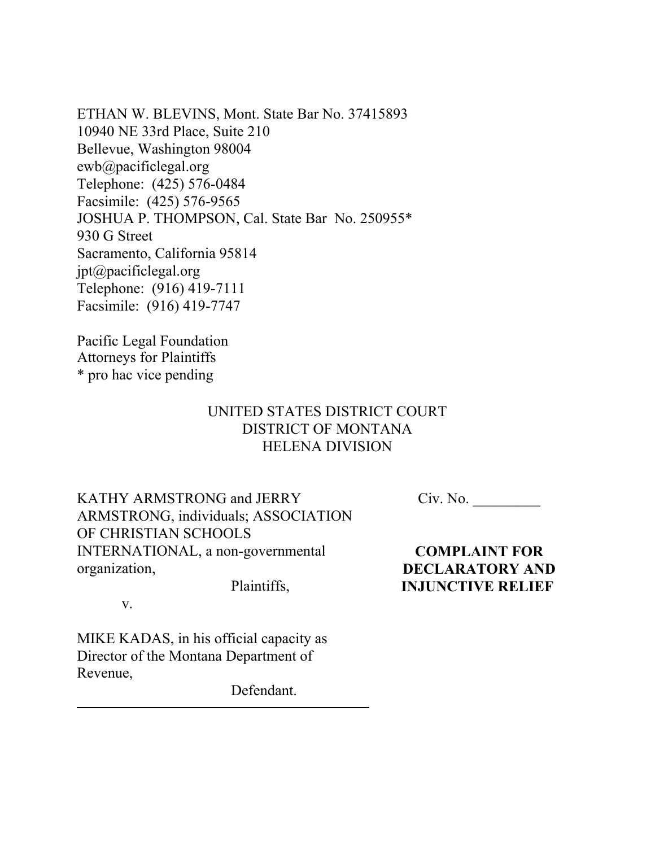ETHAN W. BLEVINS, Mont. State Bar No. 37415893 10940 NE 33rd Place, Suite 210 Bellevue, Washington 98004 ewb@pacificlegal.org Telephone: (425) 576-0484 Facsimile: (425) 576-9565 JOSHUA P. THOMPSON, Cal. State Bar No. 250955\* 930 G Street Sacramento, California 95814 jpt@pacificlegal.org Telephone: (916) 419-7111 Facsimile: (916) 419-7747

Pacific Legal Foundation Attorneys for Plaintiffs \* pro hac vice pending

# UNITED STATES DISTRICT COURT DISTRICT OF MONTANA HELENA DIVISION

KATHY ARMSTRONG and JERRY ARMSTRONG, individuals; ASSOCIATION OF CHRISTIAN SCHOOLS INTERNATIONAL, a non-governmental organization,

 $Civ. No.$ 

**COMPLAINT FOR DECLARATORY AND INJUNCTIVE RELIEF** 

v.

MIKE KADAS, in his official capacity as Director of the Montana Department of Revenue,

Defendant.

Plaintiffs,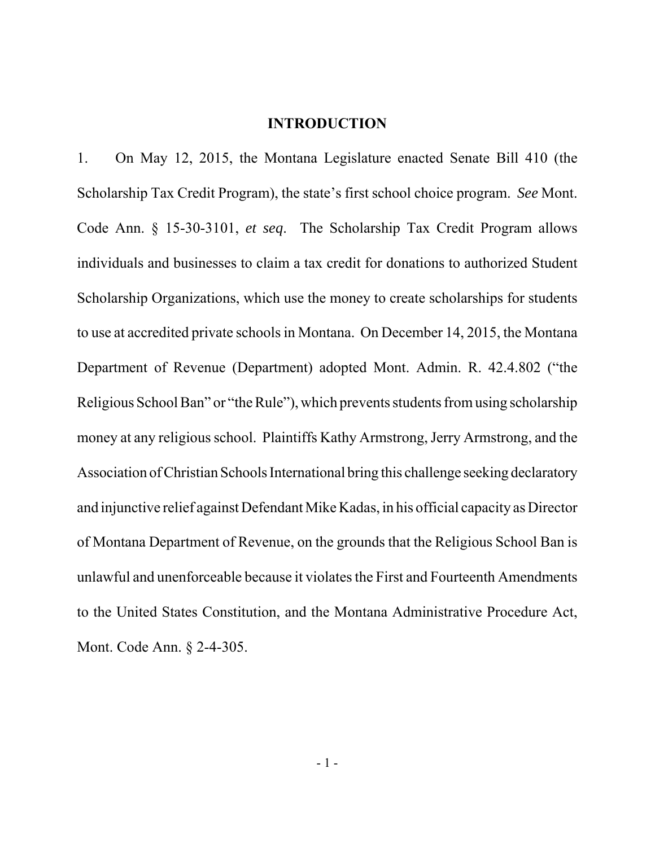#### **INTRODUCTION**

1. On May 12, 2015, the Montana Legislature enacted Senate Bill 410 (the Scholarship Tax Credit Program), the state's first school choice program. *See* Mont. Code Ann. § 15-30-3101, *et seq*. The Scholarship Tax Credit Program allows individuals and businesses to claim a tax credit for donations to authorized Student Scholarship Organizations, which use the money to create scholarships for students to use at accredited private schools in Montana. On December 14, 2015, the Montana Department of Revenue (Department) adopted Mont. Admin. R. 42.4.802 ("the Religious School Ban" or "the Rule"), which prevents students from using scholarship money at any religious school. Plaintiffs Kathy Armstrong, Jerry Armstrong, and the Association of Christian Schools International bring this challenge seeking declaratory and injunctive relief against Defendant Mike Kadas, in his official capacity as Director of Montana Department of Revenue, on the grounds that the Religious School Ban is unlawful and unenforceable because it violates the First and Fourteenth Amendments to the United States Constitution, and the Montana Administrative Procedure Act, Mont. Code Ann. § 2-4-305.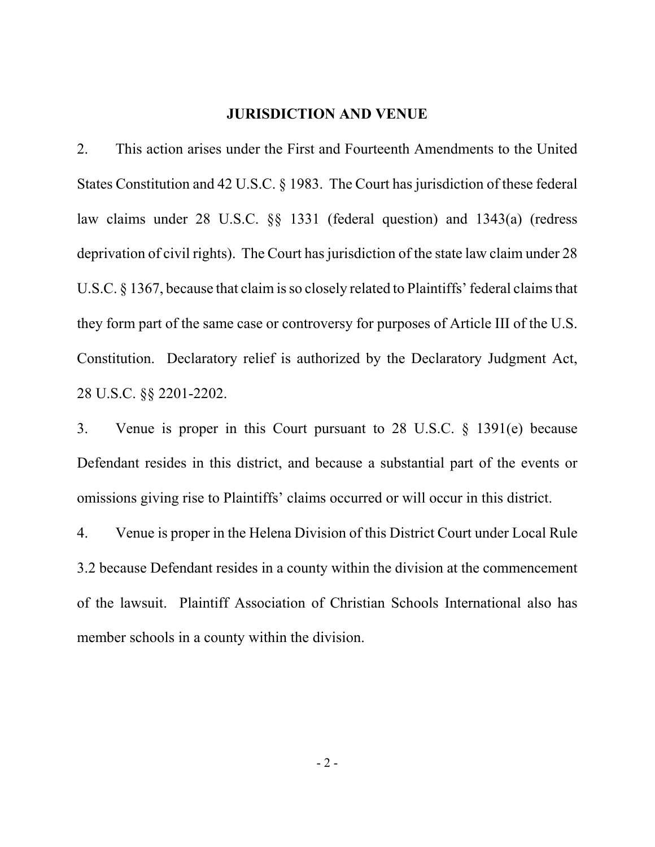#### **JURISDICTION AND VENUE**

2. This action arises under the First and Fourteenth Amendments to the United States Constitution and 42 U.S.C. § 1983. The Court has jurisdiction of these federal law claims under 28 U.S.C. §§ 1331 (federal question) and 1343(a) (redress deprivation of civil rights). The Court has jurisdiction of the state law claim under 28 U.S.C. § 1367, because that claim is so closely related to Plaintiffs' federal claims that they form part of the same case or controversy for purposes of Article III of the U.S. Constitution. Declaratory relief is authorized by the Declaratory Judgment Act, 28 U.S.C. §§ 2201-2202.

3. Venue is proper in this Court pursuant to 28 U.S.C. § 1391(e) because Defendant resides in this district, and because a substantial part of the events or omissions giving rise to Plaintiffs' claims occurred or will occur in this district.

4. Venue is proper in the Helena Division of this District Court under Local Rule 3.2 because Defendant resides in a county within the division at the commencement of the lawsuit. Plaintiff Association of Christian Schools International also has member schools in a county within the division.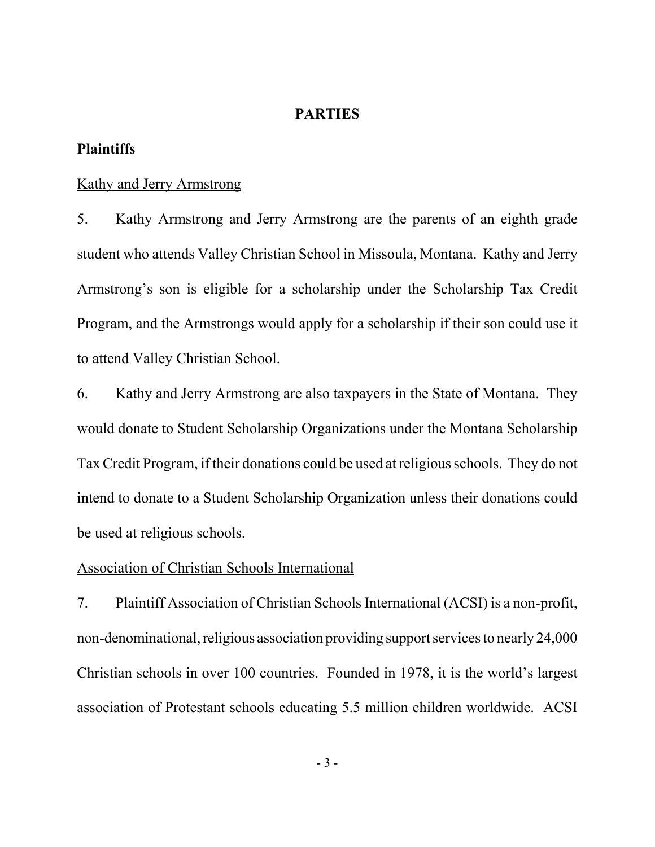#### **PARTIES**

## **Plaintiffs**

## Kathy and Jerry Armstrong

5. Kathy Armstrong and Jerry Armstrong are the parents of an eighth grade student who attends Valley Christian School in Missoula, Montana. Kathy and Jerry Armstrong's son is eligible for a scholarship under the Scholarship Tax Credit Program, and the Armstrongs would apply for a scholarship if their son could use it to attend Valley Christian School.

6. Kathy and Jerry Armstrong are also taxpayers in the State of Montana. They would donate to Student Scholarship Organizations under the Montana Scholarship Tax Credit Program, if their donations could be used at religious schools. They do not intend to donate to a Student Scholarship Organization unless their donations could be used at religious schools.

#### Association of Christian Schools International

7. Plaintiff Association of Christian Schools International (ACSI) is a non-profit, non-denominational, religious association providing support services to nearly 24,000 Christian schools in over 100 countries. Founded in 1978, it is the world's largest association of Protestant schools educating 5.5 million children worldwide. ACSI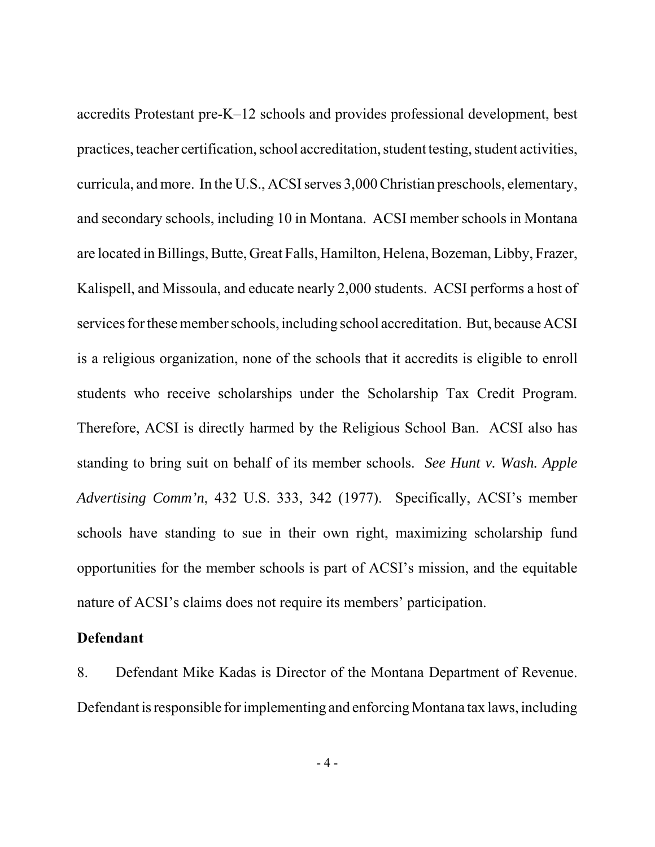accredits Protestant pre-K–12 schools and provides professional development, best practices, teacher certification, school accreditation, student testing, student activities, curricula, and more. In the U.S., ACSI serves 3,000 Christian preschools, elementary, and secondary schools, including 10 in Montana. ACSI member schools in Montana are located in Billings, Butte, Great Falls, Hamilton, Helena, Bozeman, Libby, Frazer, Kalispell, and Missoula, and educate nearly 2,000 students. ACSI performs a host of services for these member schools, including school accreditation. But, because ACSI is a religious organization, none of the schools that it accredits is eligible to enroll students who receive scholarships under the Scholarship Tax Credit Program. Therefore, ACSI is directly harmed by the Religious School Ban. ACSI also has standing to bring suit on behalf of its member schools. *See Hunt v. Wash. Apple Advertising Comm'n*, 432 U.S. 333, 342 (1977). Specifically, ACSI's member schools have standing to sue in their own right, maximizing scholarship fund opportunities for the member schools is part of ACSI's mission, and the equitable nature of ACSI's claims does not require its members' participation.

## **Defendant**

8. Defendant Mike Kadas is Director of the Montana Department of Revenue. Defendant is responsible for implementing and enforcing Montana tax laws, including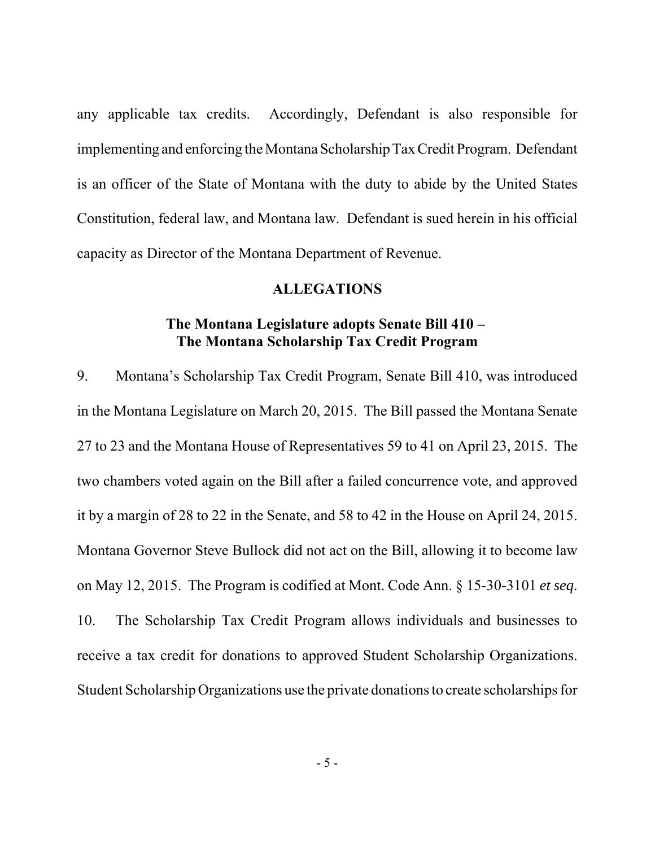any applicable tax credits. Accordingly, Defendant is also responsible for implementing and enforcing the Montana Scholarship Tax Credit Program. Defendant is an officer of the State of Montana with the duty to abide by the United States Constitution, federal law, and Montana law. Defendant is sued herein in his official capacity as Director of the Montana Department of Revenue.

#### **ALLEGATIONS**

## **The Montana Legislature adopts Senate Bill 410 – The Montana Scholarship Tax Credit Program**

9. Montana's Scholarship Tax Credit Program, Senate Bill 410, was introduced in the Montana Legislature on March 20, 2015. The Bill passed the Montana Senate 27 to 23 and the Montana House of Representatives 59 to 41 on April 23, 2015. The two chambers voted again on the Bill after a failed concurrence vote, and approved it by a margin of 28 to 22 in the Senate, and 58 to 42 in the House on April 24, 2015. Montana Governor Steve Bullock did not act on the Bill, allowing it to become law on May 12, 2015. The Program is codified at Mont. Code Ann. § 15-30-3101 *et seq*. 10. The Scholarship Tax Credit Program allows individuals and businesses to receive a tax credit for donations to approved Student Scholarship Organizations. Student Scholarship Organizations use the private donations to create scholarships for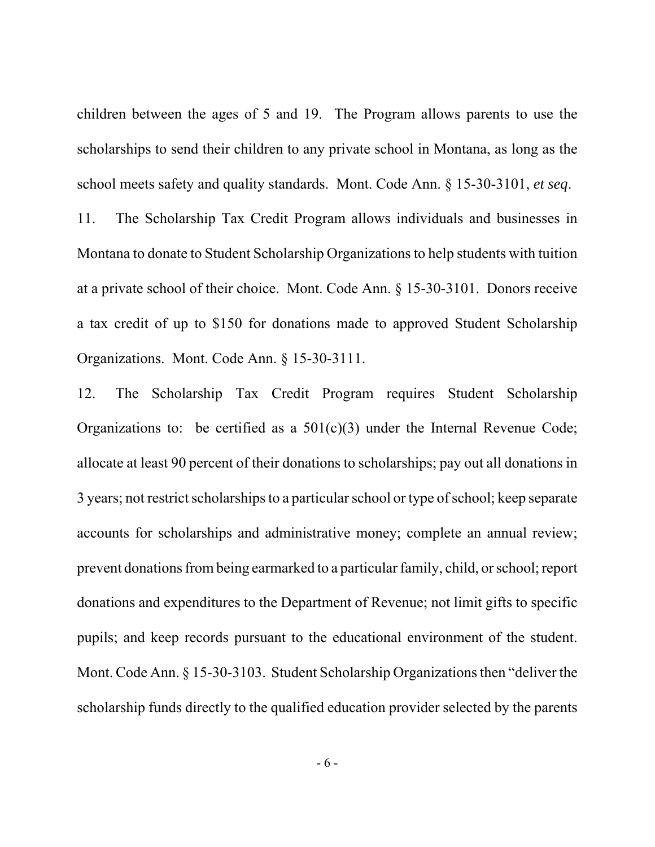children between the ages of 5 and 19. The Program allows parents to use the scholarships to send their children to any private school in Montana, as long as the school meets safety and quality standards. Mont. Code Ann. § 15-30-3101, *et seq*.

11. The Scholarship Tax Credit Program allows individuals and businesses in Montana to donate to Student Scholarship Organizations to help students with tuition at a private school of their choice. Mont. Code Ann. § 15-30-3101. Donors receive a tax credit of up to \$150 for donations made to approved Student Scholarship Organizations. Mont. Code Ann. § 15-30-3111.

12. The Scholarship Tax Credit Program requires Student Scholarship Organizations to: be certified as a  $501(c)(3)$  under the Internal Revenue Code; allocate at least 90 percent of their donations to scholarships; pay out all donations in 3 years; not restrict scholarships to a particular school or type of school; keep separate accounts for scholarships and administrative money; complete an annual review; prevent donations from being earmarked to a particular family, child, or school; report donations and expenditures to the Department of Revenue; not limit gifts to specific pupils; and keep records pursuant to the educational environment of the student. Mont. Code Ann. § 15-30-3103. Student Scholarship Organizations then "deliver the scholarship funds directly to the qualified education provider selected by the parents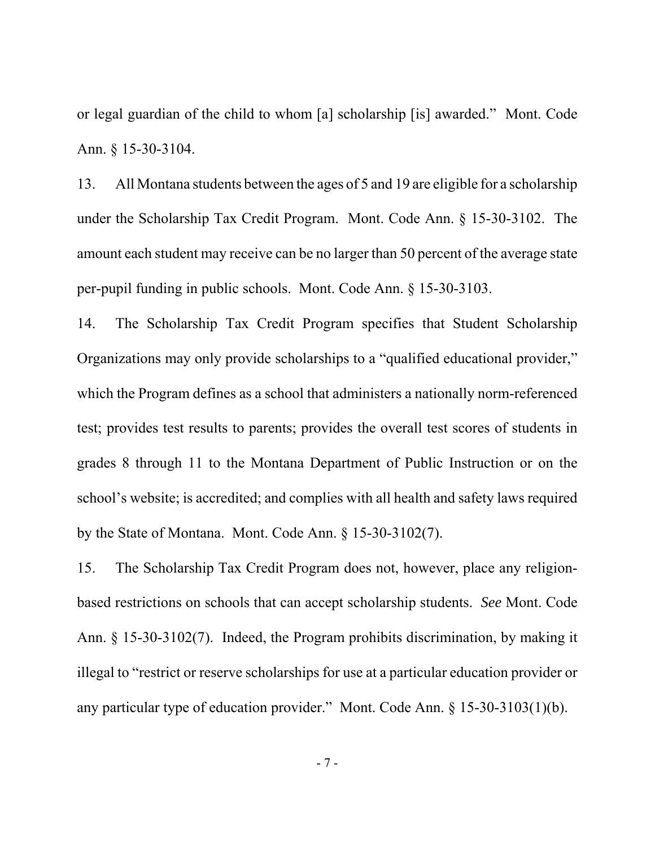or legal guardian of the child to whom [a] scholarship [is] awarded." Mont. Code Ann. § 15-30-3104.

13. All Montana students between the ages of 5 and 19 are eligible for a scholarship under the Scholarship Tax Credit Program. Mont. Code Ann. § 15-30-3102. The amount each student may receive can be no larger than 50 percent of the average state per-pupil funding in public schools. Mont. Code Ann. § 15-30-3103.

14. The Scholarship Tax Credit Program specifies that Student Scholarship Organizations may only provide scholarships to a "qualified educational provider," which the Program defines as a school that administers a nationally norm-referenced test; provides test results to parents; provides the overall test scores of students in grades 8 through 11 to the Montana Department of Public Instruction or on the school's website; is accredited; and complies with all health and safety laws required by the State of Montana. Mont. Code Ann. § 15-30-3102(7).

15. The Scholarship Tax Credit Program does not, however, place any religionbased restrictions on schools that can accept scholarship students. *See* Mont. Code Ann. § 15-30-3102(7). Indeed, the Program prohibits discrimination, by making it illegal to "restrict or reserve scholarships for use at a particular education provider or any particular type of education provider." Mont. Code Ann. § 15-30-3103(1)(b).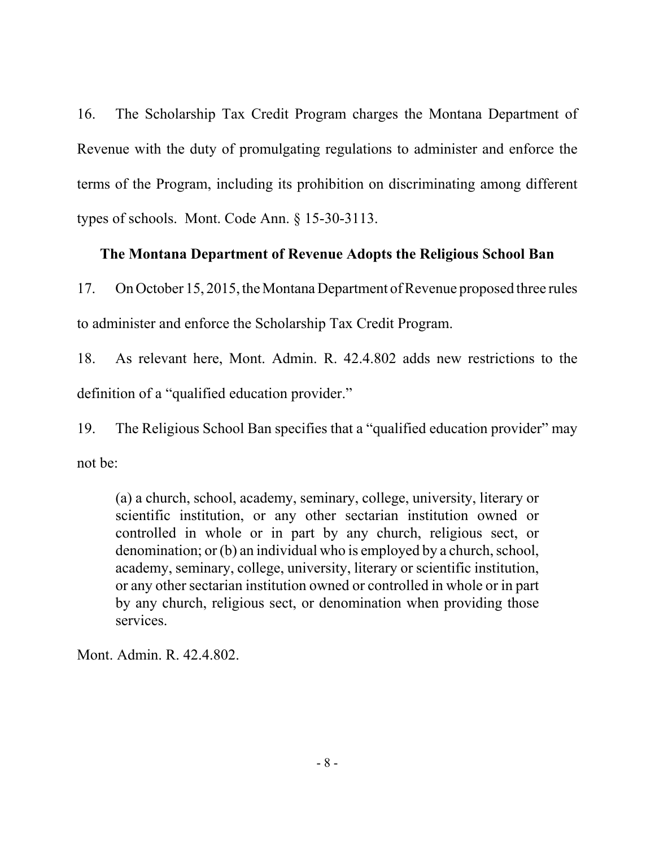16. The Scholarship Tax Credit Program charges the Montana Department of Revenue with the duty of promulgating regulations to administer and enforce the terms of the Program, including its prohibition on discriminating among different types of schools. Mont. Code Ann. § 15-30-3113.

# **The Montana Department of Revenue Adopts the Religious School Ban**

17. On October 15, 2015, the Montana Department of Revenue proposed three rules to administer and enforce the Scholarship Tax Credit Program.

18. As relevant here, Mont. Admin. R. 42.4.802 adds new restrictions to the definition of a "qualified education provider."

19. The Religious School Ban specifies that a "qualified education provider" may not be:

(a) a church, school, academy, seminary, college, university, literary or scientific institution, or any other sectarian institution owned or controlled in whole or in part by any church, religious sect, or denomination; or (b) an individual who is employed by a church, school, academy, seminary, college, university, literary or scientific institution, or any other sectarian institution owned or controlled in whole or in part by any church, religious sect, or denomination when providing those services.

Mont. Admin. R. 42.4.802.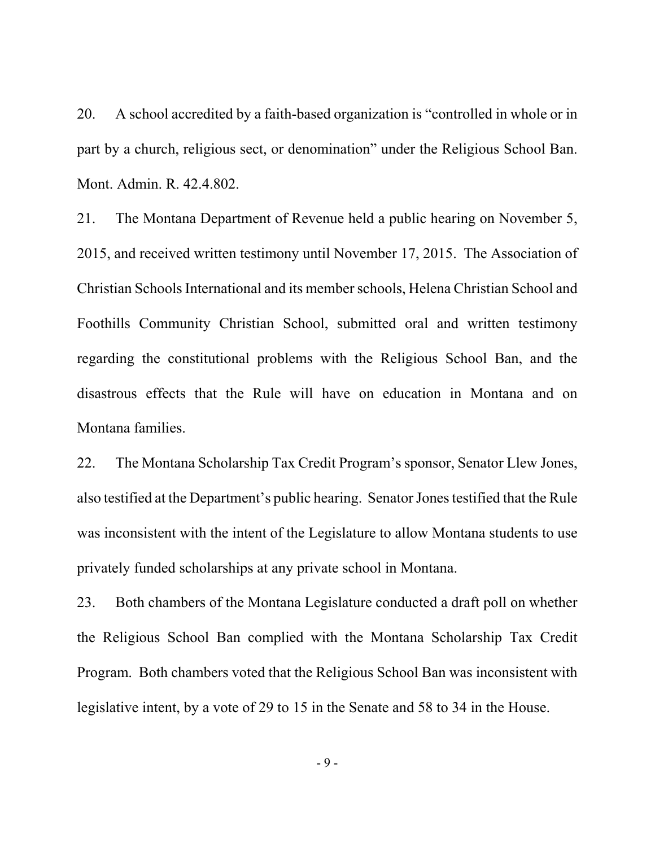20. A school accredited by a faith-based organization is "controlled in whole or in part by a church, religious sect, or denomination" under the Religious School Ban. Mont. Admin. R. 42.4.802.

21. The Montana Department of Revenue held a public hearing on November 5, 2015, and received written testimony until November 17, 2015. The Association of Christian Schools International and its member schools, Helena Christian School and Foothills Community Christian School, submitted oral and written testimony regarding the constitutional problems with the Religious School Ban, and the disastrous effects that the Rule will have on education in Montana and on Montana families.

22. The Montana Scholarship Tax Credit Program's sponsor, Senator Llew Jones, also testified at the Department's public hearing. Senator Jones testified that the Rule was inconsistent with the intent of the Legislature to allow Montana students to use privately funded scholarships at any private school in Montana.

23. Both chambers of the Montana Legislature conducted a draft poll on whether the Religious School Ban complied with the Montana Scholarship Tax Credit Program. Both chambers voted that the Religious School Ban was inconsistent with legislative intent, by a vote of 29 to 15 in the Senate and 58 to 34 in the House.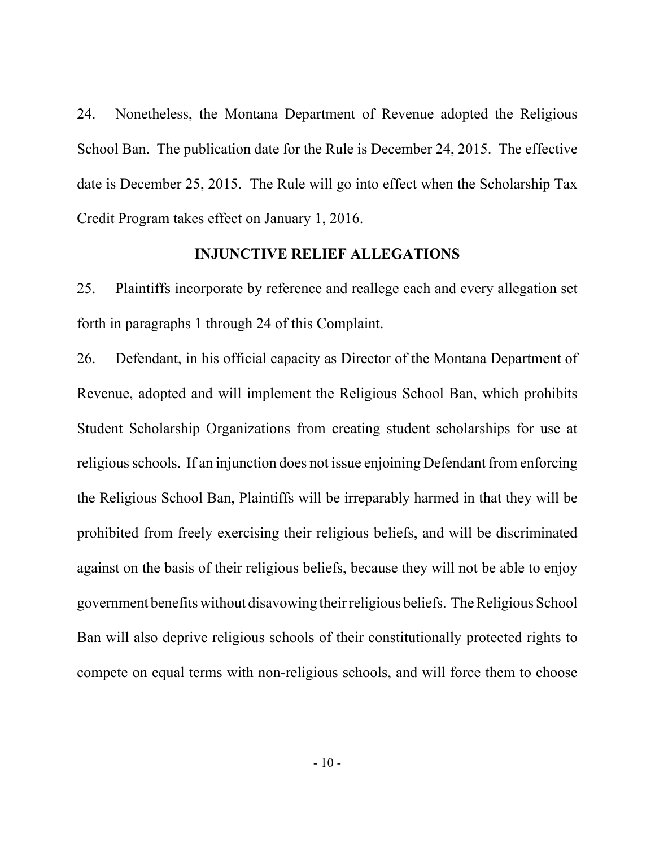24. Nonetheless, the Montana Department of Revenue adopted the Religious School Ban. The publication date for the Rule is December 24, 2015. The effective date is December 25, 2015. The Rule will go into effect when the Scholarship Tax Credit Program takes effect on January 1, 2016.

## **INJUNCTIVE RELIEF ALLEGATIONS**

25. Plaintiffs incorporate by reference and reallege each and every allegation set forth in paragraphs 1 through 24 of this Complaint.

26. Defendant, in his official capacity as Director of the Montana Department of Revenue, adopted and will implement the Religious School Ban, which prohibits Student Scholarship Organizations from creating student scholarships for use at religious schools. If an injunction does not issue enjoining Defendant from enforcing the Religious School Ban, Plaintiffs will be irreparably harmed in that they will be prohibited from freely exercising their religious beliefs, and will be discriminated against on the basis of their religious beliefs, because they will not be able to enjoy government benefits without disavowing their religious beliefs. The Religious School Ban will also deprive religious schools of their constitutionally protected rights to compete on equal terms with non-religious schools, and will force them to choose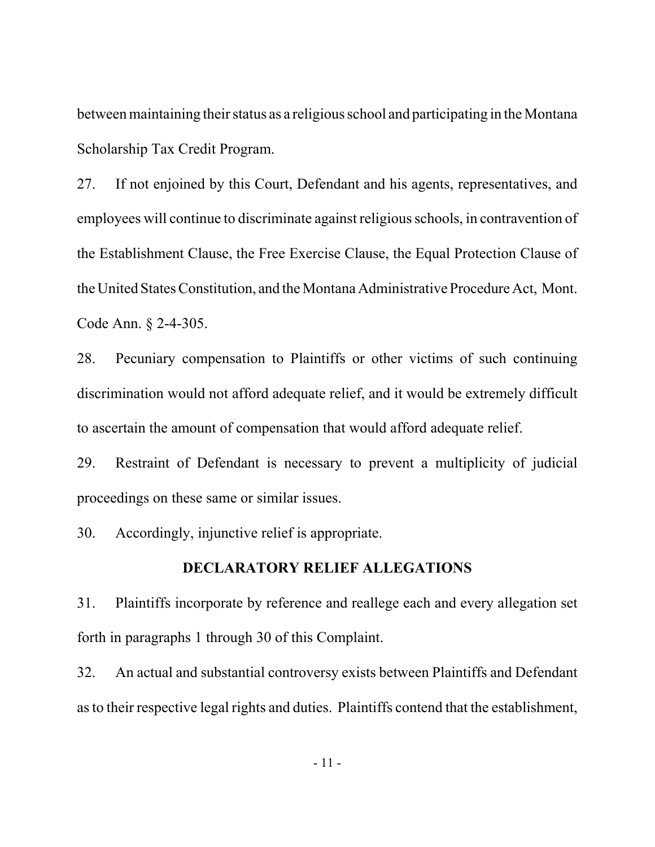between maintaining their status as a religious school and participating in the Montana Scholarship Tax Credit Program.

27. If not enjoined by this Court, Defendant and his agents, representatives, and employees will continue to discriminate against religious schools, in contravention of the Establishment Clause, the Free Exercise Clause, the Equal Protection Clause of the United States Constitution, and the Montana Administrative Procedure Act, Mont. Code Ann. § 2-4-305.

28. Pecuniary compensation to Plaintiffs or other victims of such continuing discrimination would not afford adequate relief, and it would be extremely difficult to ascertain the amount of compensation that would afford adequate relief.

29. Restraint of Defendant is necessary to prevent a multiplicity of judicial proceedings on these same or similar issues.

30. Accordingly, injunctive relief is appropriate.

### **DECLARATORY RELIEF ALLEGATIONS**

31. Plaintiffs incorporate by reference and reallege each and every allegation set forth in paragraphs 1 through 30 of this Complaint.

32. An actual and substantial controversy exists between Plaintiffs and Defendant as to their respective legal rights and duties. Plaintiffs contend that the establishment,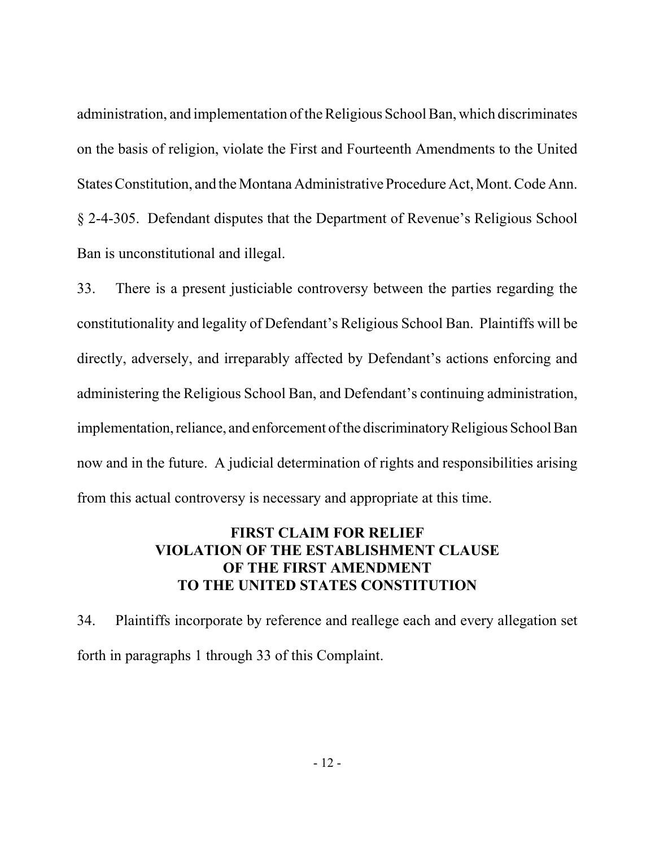administration, and implementation of the Religious School Ban, which discriminates on the basis of religion, violate the First and Fourteenth Amendments to the United States Constitution, and the Montana Administrative Procedure Act, Mont. Code Ann. § 2-4-305. Defendant disputes that the Department of Revenue's Religious School Ban is unconstitutional and illegal.

33. There is a present justiciable controversy between the parties regarding the constitutionality and legality of Defendant's Religious School Ban. Plaintiffs will be directly, adversely, and irreparably affected by Defendant's actions enforcing and administering the Religious School Ban, and Defendant's continuing administration, implementation, reliance, and enforcement of the discriminatory Religious School Ban now and in the future. A judicial determination of rights and responsibilities arising from this actual controversy is necessary and appropriate at this time.

# **FIRST CLAIM FOR RELIEF VIOLATION OF THE ESTABLISHMENT CLAUSE OF THE FIRST AMENDMENT TO THE UNITED STATES CONSTITUTION**

34. Plaintiffs incorporate by reference and reallege each and every allegation set forth in paragraphs 1 through 33 of this Complaint.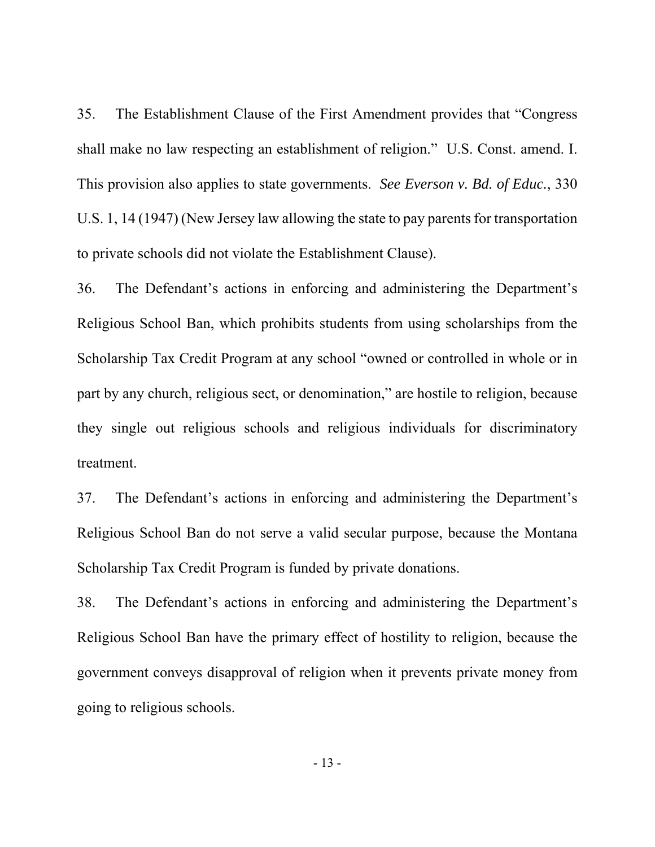35. The Establishment Clause of the First Amendment provides that "Congress shall make no law respecting an establishment of religion." U.S. Const. amend. I. This provision also applies to state governments. *See Everson v. Bd. of Educ.*, 330 U.S. 1, 14 (1947) (New Jersey law allowing the state to pay parents for transportation to private schools did not violate the Establishment Clause).

36. The Defendant's actions in enforcing and administering the Department's Religious School Ban, which prohibits students from using scholarships from the Scholarship Tax Credit Program at any school "owned or controlled in whole or in part by any church, religious sect, or denomination," are hostile to religion, because they single out religious schools and religious individuals for discriminatory treatment.

37. The Defendant's actions in enforcing and administering the Department's Religious School Ban do not serve a valid secular purpose, because the Montana Scholarship Tax Credit Program is funded by private donations.

38. The Defendant's actions in enforcing and administering the Department's Religious School Ban have the primary effect of hostility to religion, because the government conveys disapproval of religion when it prevents private money from going to religious schools.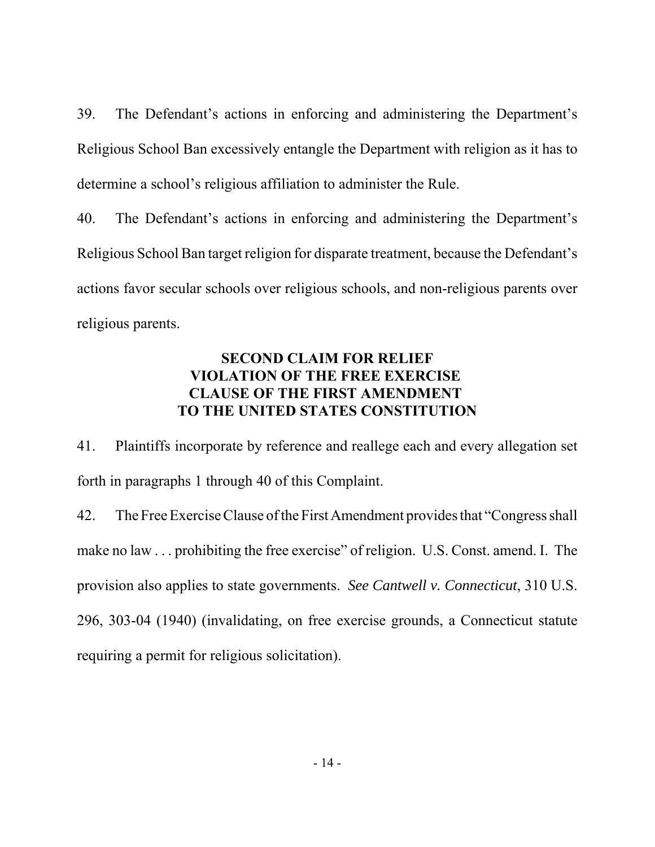39. The Defendant's actions in enforcing and administering the Department's Religious School Ban excessively entangle the Department with religion as it has to determine a school's religious affiliation to administer the Rule.

40. The Defendant's actions in enforcing and administering the Department's Religious School Ban target religion for disparate treatment, because the Defendant's actions favor secular schools over religious schools, and non-religious parents over religious parents.

# **SECOND CLAIM FOR RELIEF VIOLATION OF THE FREE EXERCISE CLAUSE OF THE FIRST AMENDMENT TO THE UNITED STATES CONSTITUTION**

41. Plaintiffs incorporate by reference and reallege each and every allegation set forth in paragraphs 1 through 40 of this Complaint.

42. The Free Exercise Clause of the First Amendment provides that "Congress shall make no law . . . prohibiting the free exercise" of religion. U.S. Const. amend. I. The provision also applies to state governments. *See Cantwell v. Connecticut*, 310 U.S. 296, 303-04 (1940) (invalidating, on free exercise grounds, a Connecticut statute requiring a permit for religious solicitation).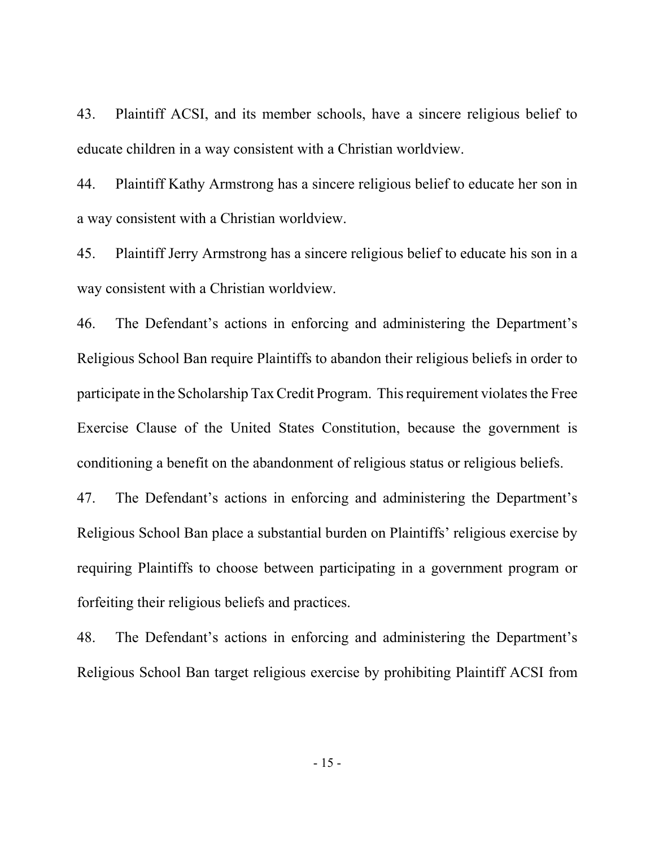43. Plaintiff ACSI, and its member schools, have a sincere religious belief to educate children in a way consistent with a Christian worldview.

44. Plaintiff Kathy Armstrong has a sincere religious belief to educate her son in a way consistent with a Christian worldview.

45. Plaintiff Jerry Armstrong has a sincere religious belief to educate his son in a way consistent with a Christian worldview.

46. The Defendant's actions in enforcing and administering the Department's Religious School Ban require Plaintiffs to abandon their religious beliefs in order to participate in the Scholarship Tax Credit Program. This requirement violates the Free Exercise Clause of the United States Constitution, because the government is conditioning a benefit on the abandonment of religious status or religious beliefs.

47. The Defendant's actions in enforcing and administering the Department's Religious School Ban place a substantial burden on Plaintiffs' religious exercise by requiring Plaintiffs to choose between participating in a government program or forfeiting their religious beliefs and practices.

48. The Defendant's actions in enforcing and administering the Department's Religious School Ban target religious exercise by prohibiting Plaintiff ACSI from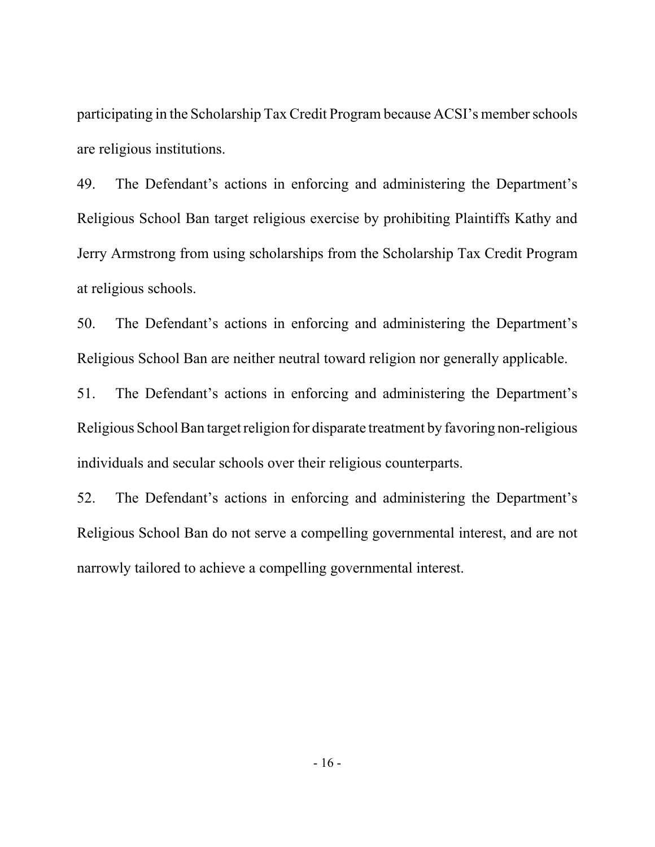participating in the Scholarship Tax Credit Program because ACSI's member schools are religious institutions.

49. The Defendant's actions in enforcing and administering the Department's Religious School Ban target religious exercise by prohibiting Plaintiffs Kathy and Jerry Armstrong from using scholarships from the Scholarship Tax Credit Program at religious schools.

50. The Defendant's actions in enforcing and administering the Department's Religious School Ban are neither neutral toward religion nor generally applicable.

51. The Defendant's actions in enforcing and administering the Department's Religious School Ban target religion for disparate treatment by favoring non-religious individuals and secular schools over their religious counterparts.

52. The Defendant's actions in enforcing and administering the Department's Religious School Ban do not serve a compelling governmental interest, and are not narrowly tailored to achieve a compelling governmental interest.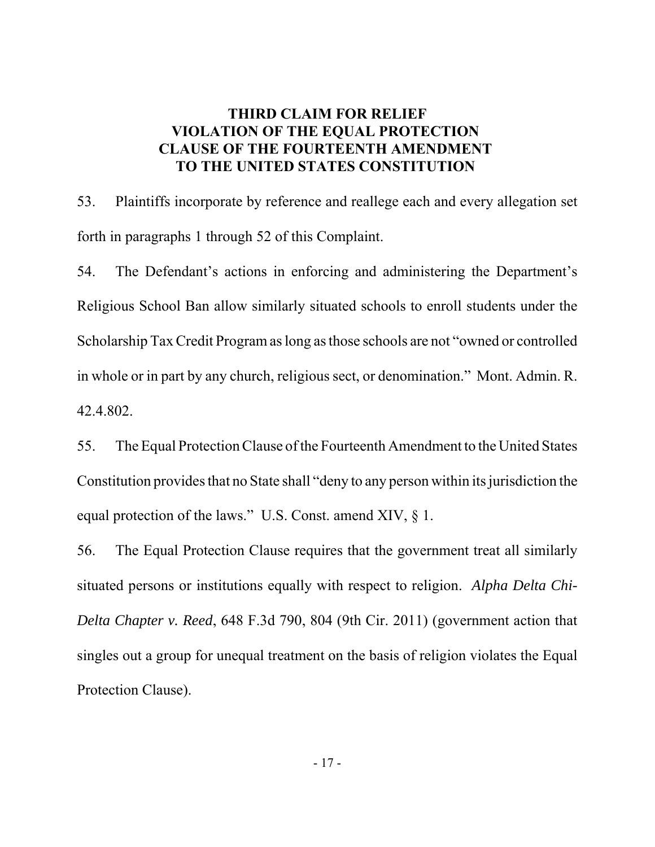# **THIRD CLAIM FOR RELIEF VIOLATION OF THE EQUAL PROTECTION CLAUSE OF THE FOURTEENTH AMENDMENT TO THE UNITED STATES CONSTITUTION**

53. Plaintiffs incorporate by reference and reallege each and every allegation set forth in paragraphs 1 through 52 of this Complaint.

54. The Defendant's actions in enforcing and administering the Department's Religious School Ban allow similarly situated schools to enroll students under the Scholarship Tax Credit Program as long as those schools are not "owned or controlled in whole or in part by any church, religious sect, or denomination." Mont. Admin. R. 42.4.802.

55. The Equal Protection Clause of the Fourteenth Amendment to the United States Constitution provides that no State shall "deny to any person within its jurisdiction the equal protection of the laws." U.S. Const. amend XIV, § 1.

56. The Equal Protection Clause requires that the government treat all similarly situated persons or institutions equally with respect to religion. *Alpha Delta Chi-Delta Chapter v. Reed*, 648 F.3d 790, 804 (9th Cir. 2011) (government action that singles out a group for unequal treatment on the basis of religion violates the Equal Protection Clause).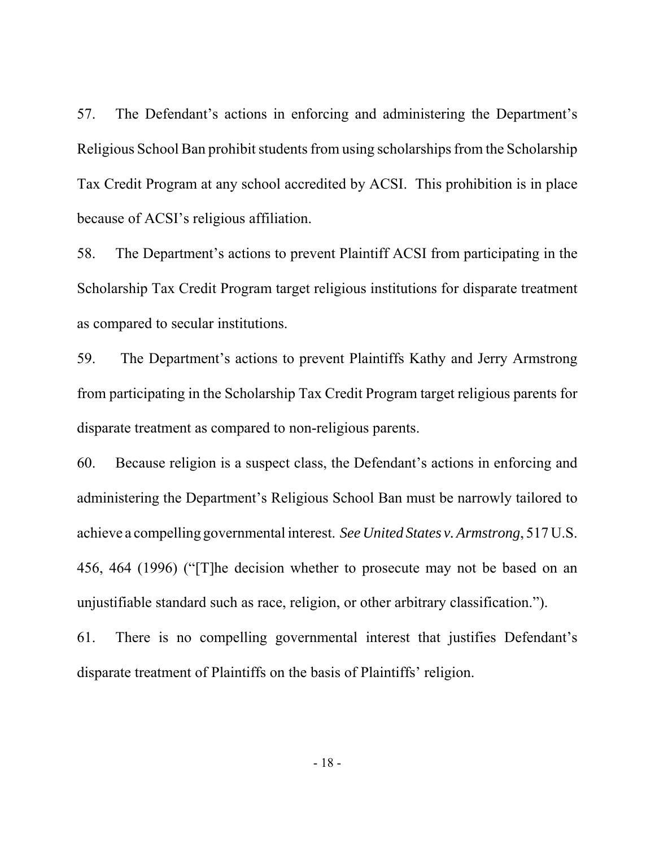57. The Defendant's actions in enforcing and administering the Department's Religious School Ban prohibit students from using scholarships from the Scholarship Tax Credit Program at any school accredited by ACSI. This prohibition is in place because of ACSI's religious affiliation.

58. The Department's actions to prevent Plaintiff ACSI from participating in the Scholarship Tax Credit Program target religious institutions for disparate treatment as compared to secular institutions.

59. The Department's actions to prevent Plaintiffs Kathy and Jerry Armstrong from participating in the Scholarship Tax Credit Program target religious parents for disparate treatment as compared to non-religious parents.

60. Because religion is a suspect class, the Defendant's actions in enforcing and administering the Department's Religious School Ban must be narrowly tailored to achieve a compelling governmental interest. *See United States v. Armstrong*, 517 U.S. 456, 464 (1996) ("[T]he decision whether to prosecute may not be based on an unjustifiable standard such as race, religion, or other arbitrary classification.").

61. There is no compelling governmental interest that justifies Defendant's disparate treatment of Plaintiffs on the basis of Plaintiffs' religion.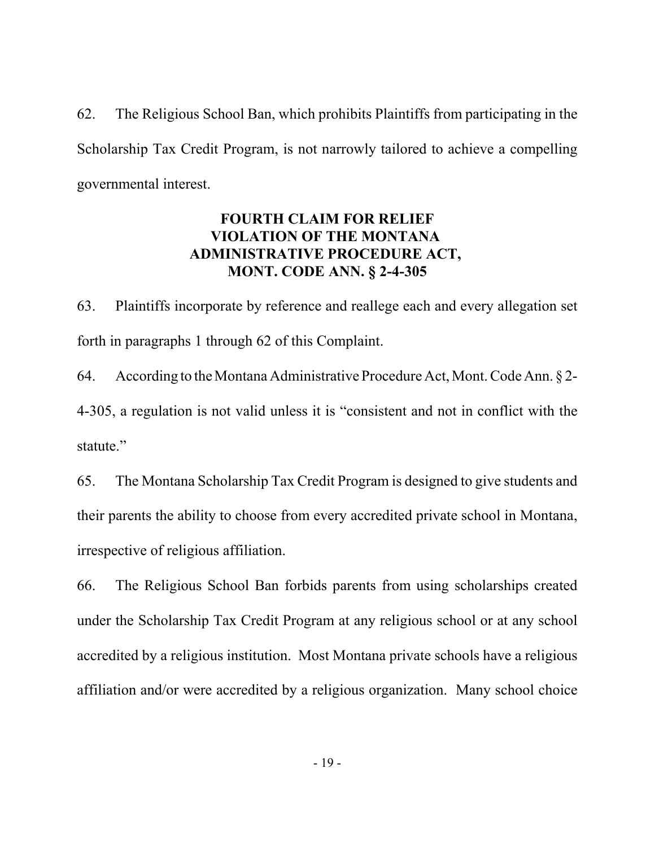62. The Religious School Ban, which prohibits Plaintiffs from participating in the Scholarship Tax Credit Program, is not narrowly tailored to achieve a compelling governmental interest.

# **FOURTH CLAIM FOR RELIEF VIOLATION OF THE MONTANA ADMINISTRATIVE PROCEDURE ACT, MONT. CODE ANN. § 2-4-305**

63. Plaintiffs incorporate by reference and reallege each and every allegation set forth in paragraphs 1 through 62 of this Complaint.

64. According to the Montana Administrative Procedure Act, Mont. Code Ann. § 2- 4-305, a regulation is not valid unless it is "consistent and not in conflict with the statute."

65. The Montana Scholarship Tax Credit Program is designed to give students and their parents the ability to choose from every accredited private school in Montana, irrespective of religious affiliation.

66. The Religious School Ban forbids parents from using scholarships created under the Scholarship Tax Credit Program at any religious school or at any school accredited by a religious institution. Most Montana private schools have a religious affiliation and/or were accredited by a religious organization. Many school choice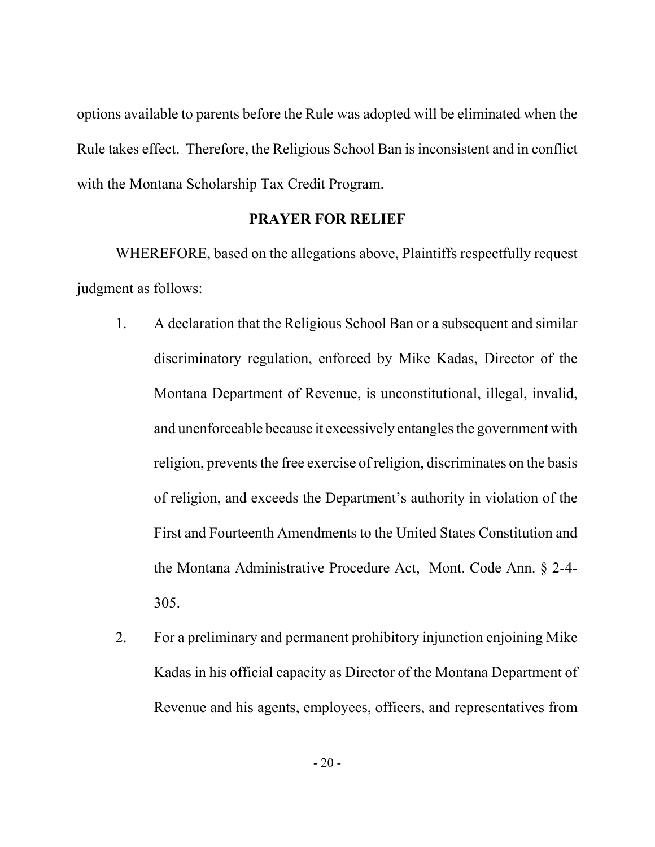options available to parents before the Rule was adopted will be eliminated when the Rule takes effect. Therefore, the Religious School Ban is inconsistent and in conflict with the Montana Scholarship Tax Credit Program.

## **PRAYER FOR RELIEF**

WHEREFORE, based on the allegations above, Plaintiffs respectfully request judgment as follows:

- 1. A declaration that the Religious School Ban or a subsequent and similar discriminatory regulation, enforced by Mike Kadas, Director of the Montana Department of Revenue, is unconstitutional, illegal, invalid, and unenforceable because it excessively entangles the government with religion, prevents the free exercise of religion, discriminates on the basis of religion, and exceeds the Department's authority in violation of the First and Fourteenth Amendments to the United States Constitution and the Montana Administrative Procedure Act, Mont. Code Ann. § 2-4- 305.
- 2. For a preliminary and permanent prohibitory injunction enjoining Mike Kadas in his official capacity as Director of the Montana Department of Revenue and his agents, employees, officers, and representatives from